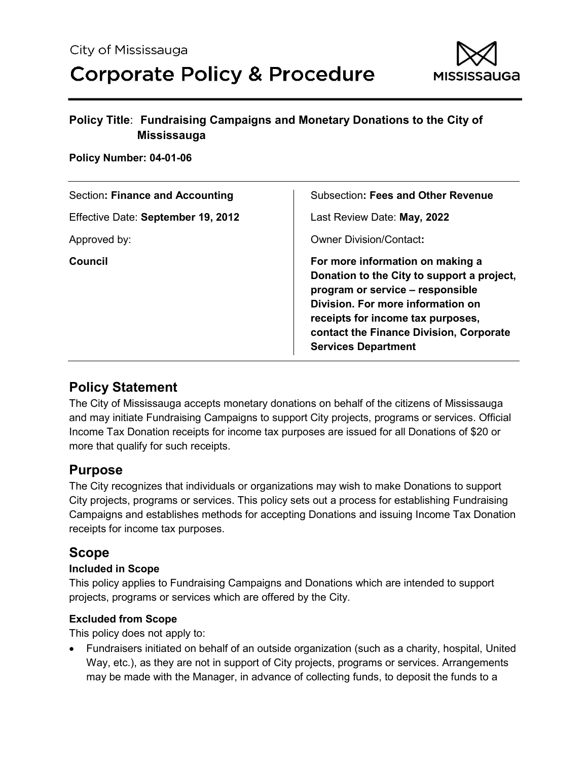

#### **Policy Number: 04-01-06**

| Section: Finance and Accounting    | Subsection: Fees and Other Revenue                                                                                                                                                                                                                                    |
|------------------------------------|-----------------------------------------------------------------------------------------------------------------------------------------------------------------------------------------------------------------------------------------------------------------------|
| Effective Date: September 19, 2012 | Last Review Date: May, 2022                                                                                                                                                                                                                                           |
| Approved by:                       | <b>Owner Division/Contact:</b>                                                                                                                                                                                                                                        |
| Council                            | For more information on making a<br>Donation to the City to support a project,<br>program or service – responsible<br>Division. For more information on<br>receipts for income tax purposes,<br>contact the Finance Division, Corporate<br><b>Services Department</b> |

## **Policy Statement**

The City of Mississauga accepts monetary donations on behalf of the citizens of Mississauga and may initiate Fundraising Campaigns to support City projects, programs or services. Official Income Tax Donation receipts for income tax purposes are issued for all Donations of \$20 or more that qualify for such receipts.

## **Purpose**

The City recognizes that individuals or organizations may wish to make Donations to support City projects, programs or services. This policy sets out a process for establishing Fundraising Campaigns and establishes methods for accepting Donations and issuing Income Tax Donation receipts for income tax purposes.

## **Scope**

### **Included in Scope**

This policy applies to Fundraising Campaigns and Donations which are intended to support projects, programs or services which are offered by the City.

### **Excluded from Scope**

This policy does not apply to:

• Fundraisers initiated on behalf of an outside organization (such as a charity, hospital, United Way, etc.), as they are not in support of City projects, programs or services. Arrangements may be made with the Manager, in advance of collecting funds, to deposit the funds to a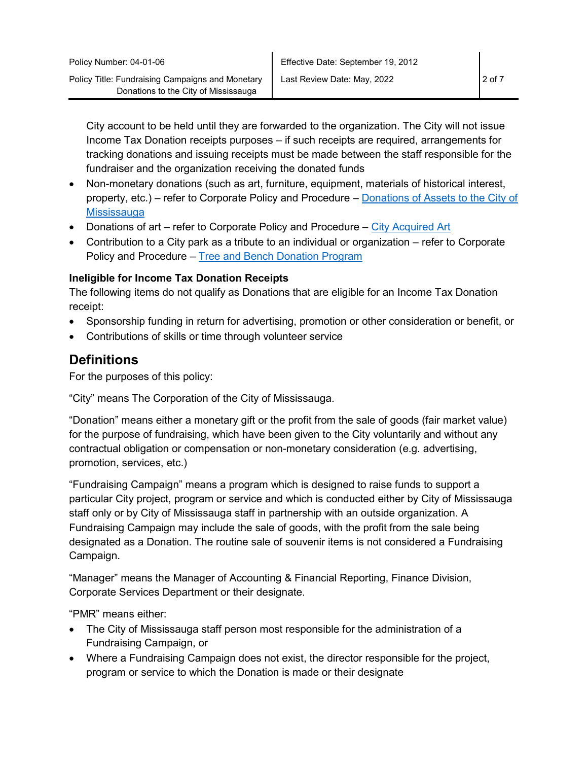City account to be held until they are forwarded to the organization. The City will not issue Income Tax Donation receipts purposes – if such receipts are required, arrangements for tracking donations and issuing receipts must be made between the staff responsible for the fundraiser and the organization receiving the donated funds

- Non-monetary donations (such as art, furniture, equipment, materials of historical interest, property, etc.) – refer to Corporate Policy and Procedure – [Donations of Assets to the City of](http://inside.mississauga.ca/Policies/Documents/05-07-01.pdf)  **[Mississauga](http://inside.mississauga.ca/Policies/Documents/05-07-01.pdf)**
- Donations of art refer to Corporate Policy and Procedure City Acquired Art
- Contribution to a City park as a tribute to an individual or organization refer to Corporate Policy and Procedure – [Tree and Bench Donation Program](http://inside.mississauga.ca/Policies/Documents/05-07-02.pdf)

#### **Ineligible for Income Tax Donation Receipts**

The following items do not qualify as Donations that are eligible for an Income Tax Donation receipt:

- Sponsorship funding in return for advertising, promotion or other consideration or benefit, or
- Contributions of skills or time through volunteer service

## **Definitions**

For the purposes of this policy:

"City" means The Corporation of the City of Mississauga.

"Donation" means either a monetary gift or the profit from the sale of goods (fair market value) for the purpose of fundraising, which have been given to the City voluntarily and without any contractual obligation or compensation or non-monetary consideration (e.g. advertising, promotion, services, etc.)

"Fundraising Campaign" means a program which is designed to raise funds to support a particular City project, program or service and which is conducted either by City of Mississauga staff only or by City of Mississauga staff in partnership with an outside organization. A Fundraising Campaign may include the sale of goods, with the profit from the sale being designated as a Donation. The routine sale of souvenir items is not considered a Fundraising Campaign.

"Manager" means the Manager of Accounting & Financial Reporting, Finance Division, Corporate Services Department or their designate.

"PMR" means either:

- The City of Mississauga staff person most responsible for the administration of a Fundraising Campaign, or
- Where a Fundraising Campaign does not exist, the director responsible for the project, program or service to which the Donation is made or their designate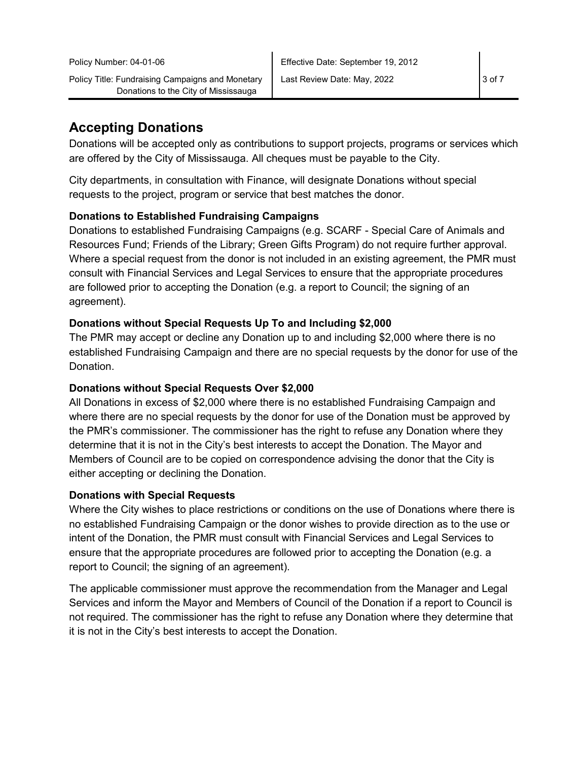## **Accepting Donations**

Donations will be accepted only as contributions to support projects, programs or services which are offered by the City of Mississauga. All cheques must be payable to the City.

City departments, in consultation with Finance, will designate Donations without special requests to the project, program or service that best matches the donor.

#### **Donations to Established Fundraising Campaigns**

Donations to established Fundraising Campaigns (e.g. SCARF - Special Care of Animals and Resources Fund; Friends of the Library; Green Gifts Program) do not require further approval. Where a special request from the donor is not included in an existing agreement, the PMR must consult with Financial Services and Legal Services to ensure that the appropriate procedures are followed prior to accepting the Donation (e.g. a report to Council; the signing of an agreement).

#### **Donations without Special Requests Up To and Including \$2,000**

The PMR may accept or decline any Donation up to and including \$2,000 where there is no established Fundraising Campaign and there are no special requests by the donor for use of the Donation.

#### **Donations without Special Requests Over \$2,000**

All Donations in excess of \$2,000 where there is no established Fundraising Campaign and where there are no special requests by the donor for use of the Donation must be approved by the PMR's commissioner. The commissioner has the right to refuse any Donation where they determine that it is not in the City's best interests to accept the Donation. The Mayor and Members of Council are to be copied on correspondence advising the donor that the City is either accepting or declining the Donation.

#### **Donations with Special Requests**

Where the City wishes to place restrictions or conditions on the use of Donations where there is no established Fundraising Campaign or the donor wishes to provide direction as to the use or intent of the Donation, the PMR must consult with Financial Services and Legal Services to ensure that the appropriate procedures are followed prior to accepting the Donation (e.g. a report to Council; the signing of an agreement).

The applicable commissioner must approve the recommendation from the Manager and Legal Services and inform the Mayor and Members of Council of the Donation if a report to Council is not required. The commissioner has the right to refuse any Donation where they determine that it is not in the City's best interests to accept the Donation.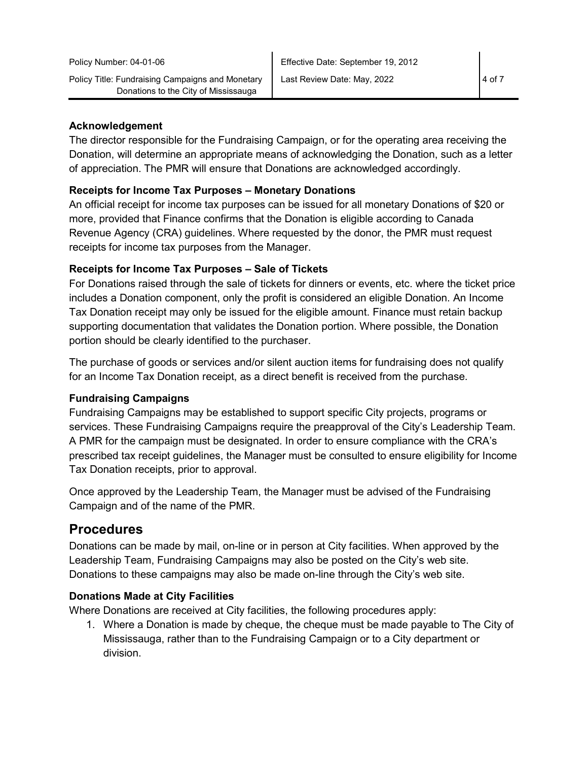#### **Acknowledgement**

The director responsible for the Fundraising Campaign, or for the operating area receiving the Donation, will determine an appropriate means of acknowledging the Donation, such as a letter of appreciation. The PMR will ensure that Donations are acknowledged accordingly.

#### **Receipts for Income Tax Purposes – Monetary Donations**

An official receipt for income tax purposes can be issued for all monetary Donations of \$20 or more, provided that Finance confirms that the Donation is eligible according to Canada Revenue Agency (CRA) guidelines. Where requested by the donor, the PMR must request receipts for income tax purposes from the Manager.

### **Receipts for Income Tax Purposes – Sale of Tickets**

For Donations raised through the sale of tickets for dinners or events, etc. where the ticket price includes a Donation component, only the profit is considered an eligible Donation. An Income Tax Donation receipt may only be issued for the eligible amount. Finance must retain backup supporting documentation that validates the Donation portion. Where possible, the Donation portion should be clearly identified to the purchaser.

The purchase of goods or services and/or silent auction items for fundraising does not qualify for an Income Tax Donation receipt, as a direct benefit is received from the purchase.

### **Fundraising Campaigns**

Fundraising Campaigns may be established to support specific City projects, programs or services. These Fundraising Campaigns require the preapproval of the City's Leadership Team. A PMR for the campaign must be designated. In order to ensure compliance with the CRA's prescribed tax receipt guidelines, the Manager must be consulted to ensure eligibility for Income Tax Donation receipts, prior to approval.

Once approved by the Leadership Team, the Manager must be advised of the Fundraising Campaign and of the name of the PMR.

## **Procedures**

Donations can be made by mail, on-line or in person at City facilities. When approved by the Leadership Team, Fundraising Campaigns may also be posted on the City's web site. Donations to these campaigns may also be made on-line through the City's web site.

#### **Donations Made at City Facilities**

Where Donations are received at City facilities, the following procedures apply:

1. Where a Donation is made by cheque, the cheque must be made payable to The City of Mississauga, rather than to the Fundraising Campaign or to a City department or division.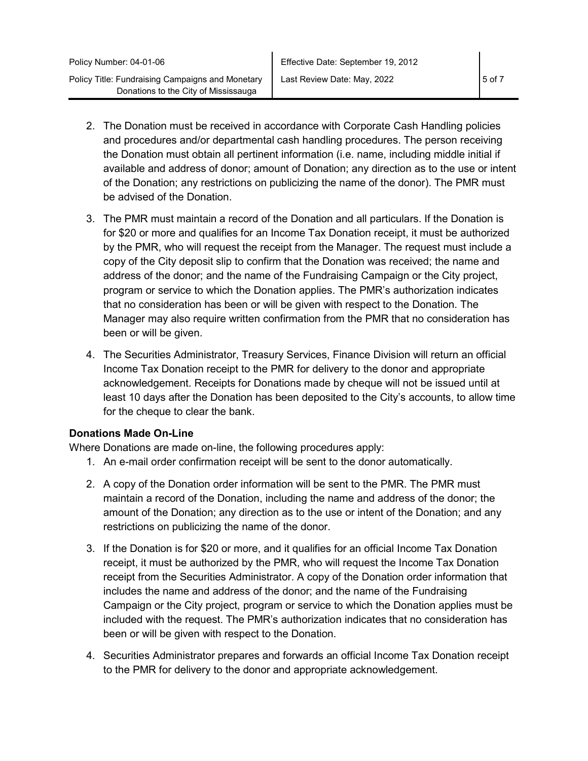- 2. The Donation must be received in accordance with Corporate Cash Handling policies and procedures and/or departmental cash handling procedures. The person receiving the Donation must obtain all pertinent information (i.e. name, including middle initial if available and address of donor; amount of Donation; any direction as to the use or intent of the Donation; any restrictions on publicizing the name of the donor). The PMR must be advised of the Donation.
- 3. The PMR must maintain a record of the Donation and all particulars. If the Donation is for \$20 or more and qualifies for an Income Tax Donation receipt, it must be authorized by the PMR, who will request the receipt from the Manager. The request must include a copy of the City deposit slip to confirm that the Donation was received; the name and address of the donor; and the name of the Fundraising Campaign or the City project, program or service to which the Donation applies. The PMR's authorization indicates that no consideration has been or will be given with respect to the Donation. The Manager may also require written confirmation from the PMR that no consideration has been or will be given.
- 4. The Securities Administrator, Treasury Services, Finance Division will return an official Income Tax Donation receipt to the PMR for delivery to the donor and appropriate acknowledgement. Receipts for Donations made by cheque will not be issued until at least 10 days after the Donation has been deposited to the City's accounts, to allow time for the cheque to clear the bank.

#### **Donations Made On-Line**

Where Donations are made on-line, the following procedures apply:

- 1. An e-mail order confirmation receipt will be sent to the donor automatically.
- 2. A copy of the Donation order information will be sent to the PMR. The PMR must maintain a record of the Donation, including the name and address of the donor; the amount of the Donation; any direction as to the use or intent of the Donation; and any restrictions on publicizing the name of the donor.
- 3. If the Donation is for \$20 or more, and it qualifies for an official Income Tax Donation receipt, it must be authorized by the PMR, who will request the Income Tax Donation receipt from the Securities Administrator. A copy of the Donation order information that includes the name and address of the donor; and the name of the Fundraising Campaign or the City project, program or service to which the Donation applies must be included with the request. The PMR's authorization indicates that no consideration has been or will be given with respect to the Donation.
- 4. Securities Administrator prepares and forwards an official Income Tax Donation receipt to the PMR for delivery to the donor and appropriate acknowledgement.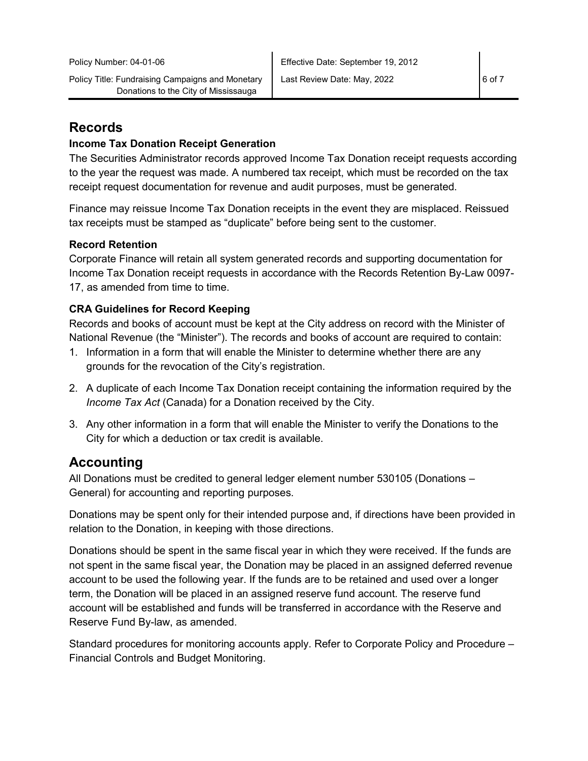## **Records**

#### **Income Tax Donation Receipt Generation**

The Securities Administrator records approved Income Tax Donation receipt requests according to the year the request was made. A numbered tax receipt, which must be recorded on the tax receipt request documentation for revenue and audit purposes, must be generated.

Finance may reissue Income Tax Donation receipts in the event they are misplaced. Reissued tax receipts must be stamped as "duplicate" before being sent to the customer.

#### **Record Retention**

Corporate Finance will retain all system generated records and supporting documentation for Income Tax Donation receipt requests in accordance with the Records Retention By-Law 0097- 17, as amended from time to time.

#### **CRA Guidelines for Record Keeping**

Records and books of account must be kept at the City address on record with the Minister of National Revenue (the "Minister"). The records and books of account are required to contain:

- 1. Information in a form that will enable the Minister to determine whether there are any grounds for the revocation of the City's registration.
- 2. A duplicate of each Income Tax Donation receipt containing the information required by the *Income Tax Act* (Canada) for a Donation received by the City.
- 3. Any other information in a form that will enable the Minister to verify the Donations to the City for which a deduction or tax credit is available.

## **Accounting**

All Donations must be credited to general ledger element number 530105 (Donations – General) for accounting and reporting purposes.

Donations may be spent only for their intended purpose and, if directions have been provided in relation to the Donation, in keeping with those directions.

Donations should be spent in the same fiscal year in which they were received. If the funds are not spent in the same fiscal year, the Donation may be placed in an assigned deferred revenue account to be used the following year. If the funds are to be retained and used over a longer term, the Donation will be placed in an assigned reserve fund account. The reserve fund account will be established and funds will be transferred in accordance with the Reserve and Reserve Fund By-law, as amended.

Standard procedures for monitoring accounts apply. Refer to Corporate Policy and Procedure – Financial Controls and Budget Monitoring.